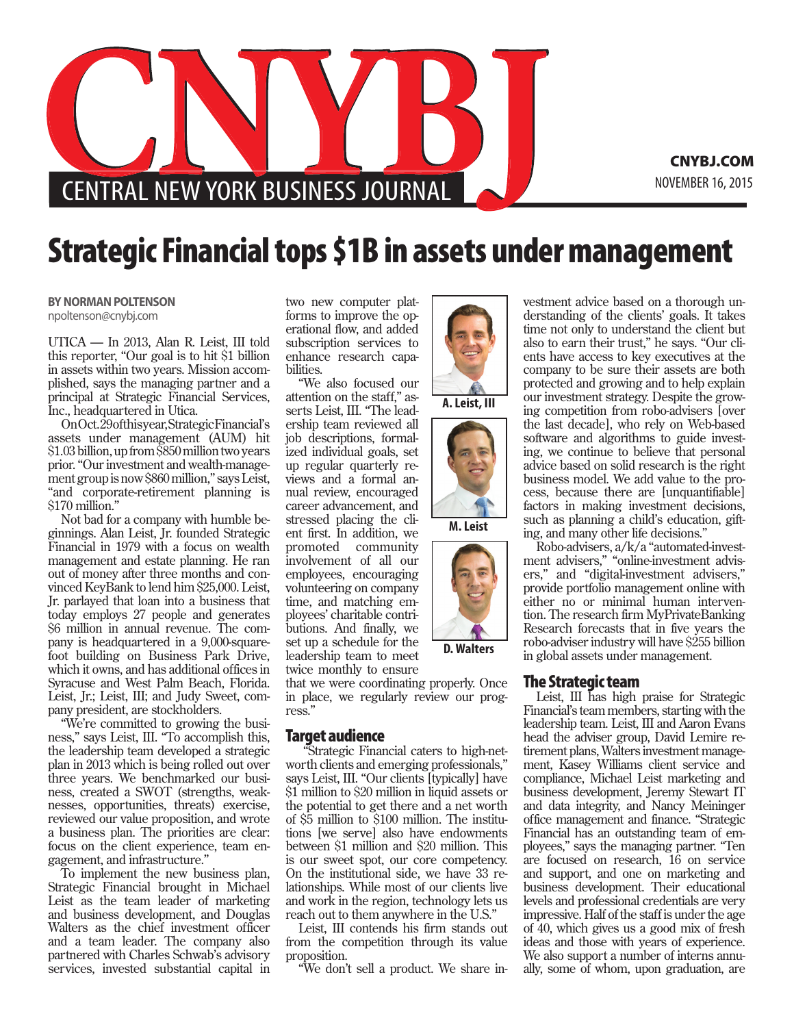

CNYBJ.COM

## Strategic Financial tops \$1B in assets under management

**BY NORMAN POLTENSON** npoltenson@cnybj.com

UTICA — In 2013, Alan R. Leist, III told this reporter, "Our goal is to hit \$1 billion in assets within two years. Mission accomplished, says the managing partner and a principal at Strategic Financial Services, Inc., headquartered in Utica.

On Oct. 29 of this year, Strategic Financial's assets under management (AUM) hit \$1.03 billion, up from \$850 million two years prior. "Our investment and wealth-management group is now \$860 million," says Leist, "and corporate-retirement planning is \$170 million."

Not bad for a company with humble beginnings. Alan Leist, Jr. founded Strategic Financial in 1979 with a focus on wealth management and estate planning. He ran out of money after three months and convinced KeyBank to lend him \$25,000. Leist, Jr. parlayed that loan into a business that today employs 27 people and generates \$6 million in annual revenue. The company is headquartered in a 9,000-squarefoot building on Business Park Drive, which it owns, and has additional offices in Syracuse and West Palm Beach, Florida. Leist, Jr.; Leist, III; and Judy Sweet, company president, are stockholders.

"We're committed to growing the business," says Leist, III. "To accomplish this, the leadership team developed a strategic plan in 2013 which is being rolled out over three years. We benchmarked our business, created a SWOT (strengths, weaknesses, opportunities, threats) exercise, reviewed our value proposition, and wrote a business plan. The priorities are clear: focus on the client experience, team engagement, and infrastructure."

To implement the new business plan, Strategic Financial brought in Michael Leist as the team leader of marketing and business development, and Douglas Walters as the chief investment officer and a team leader. The company also partnered with Charles Schwab's advisory services, invested substantial capital in

two new computer platforms to improve the operational flow, and added subscription services to enhance research capabilities.

"We also focused our attention on the staff," asserts Leist, III. "The leadership team reviewed all job descriptions, formalized individual goals, set up regular quarterly reviews and a formal annual review, encouraged career advancement, and stressed placing the client first. In addition, we promoted community involvement of all our employees, encouraging volunteering on company time, and matching employees' charitable contributions. And finally, we set up a schedule for the leadership team to meet twice monthly to ensure

that we were coordinating properly. Once in place, we regularly review our progress."

## Target audience

 "Strategic Financial caters to high-networth clients and emerging professionals," says Leist, III. "Our clients [typically] have \$1 million to \$20 million in liquid assets or the potential to get there and a net worth of \$5 million to \$100 million. The institutions [we serve] also have endowments between \$1 million and \$20 million. This is our sweet spot, our core competency. On the institutional side, we have 33 relationships. While most of our clients live and work in the region, technology lets us reach out to them anywhere in the U.S."

Leist, III contends his firm stands out from the competition through its value proposition.

"We don't sell a product. We share in-



Robo-advisers, a/k/a "automated-investment advisers," "online-investment advisers," and "digital-investment advisers," provide portfolio management online with either no or minimal human intervention. The research firm MyPrivateBanking Research forecasts that in five years the robo-adviser industry will have \$255 billion in global assets under management.

## The Strategic team

Leist, III has high praise for Strategic Financial's team members, starting with the leadership team. Leist, III and Aaron Evans head the adviser group, David Lemire retirement plans, Walters investment management, Kasey Williams client service and compliance, Michael Leist marketing and business development, Jeremy Stewart IT and data integrity, and Nancy Meininger office management and finance. "Strategic Financial has an outstanding team of employees," says the managing partner. "Ten are focused on research, 16 on service and support, and one on marketing and business development. Their educational levels and professional credentials are very impressive. Half of the staff is under the age of 40, which gives us a good mix of fresh ideas and those with years of experience. We also support a number of interns annually, some of whom, upon graduation, are

**D. Walters**

**A. Leist, III**

**M. Leist**